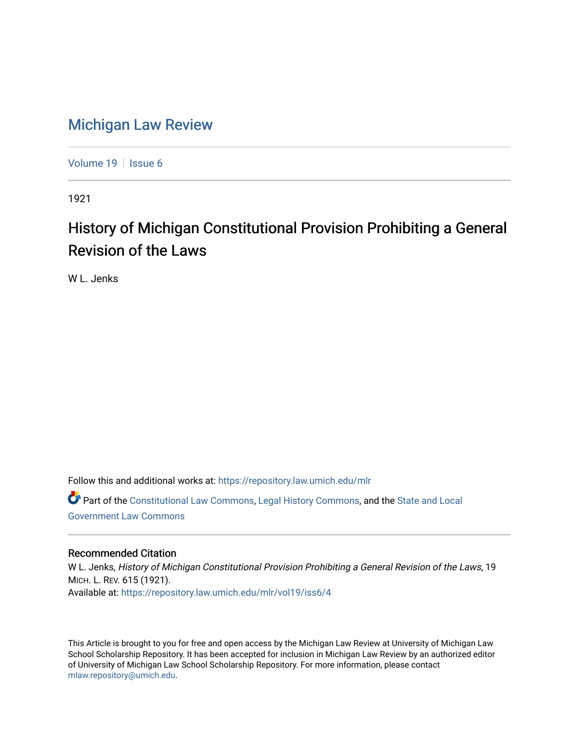## [Michigan Law Review](https://repository.law.umich.edu/mlr)

[Volume 19](https://repository.law.umich.edu/mlr/vol19) | [Issue 6](https://repository.law.umich.edu/mlr/vol19/iss6)

1921

## History of Michigan Constitutional Provision Prohibiting a General Revision of the Laws

W L. Jenks

Follow this and additional works at: [https://repository.law.umich.edu/mlr](https://repository.law.umich.edu/mlr?utm_source=repository.law.umich.edu%2Fmlr%2Fvol19%2Fiss6%2F4&utm_medium=PDF&utm_campaign=PDFCoverPages) 

Part of the [Constitutional Law Commons,](http://network.bepress.com/hgg/discipline/589?utm_source=repository.law.umich.edu%2Fmlr%2Fvol19%2Fiss6%2F4&utm_medium=PDF&utm_campaign=PDFCoverPages) [Legal History Commons](http://network.bepress.com/hgg/discipline/904?utm_source=repository.law.umich.edu%2Fmlr%2Fvol19%2Fiss6%2F4&utm_medium=PDF&utm_campaign=PDFCoverPages), and the [State and Local](http://network.bepress.com/hgg/discipline/879?utm_source=repository.law.umich.edu%2Fmlr%2Fvol19%2Fiss6%2F4&utm_medium=PDF&utm_campaign=PDFCoverPages) [Government Law Commons](http://network.bepress.com/hgg/discipline/879?utm_source=repository.law.umich.edu%2Fmlr%2Fvol19%2Fiss6%2F4&utm_medium=PDF&utm_campaign=PDFCoverPages) 

## Recommended Citation

W L. Jenks, History of Michigan Constitutional Provision Prohibiting a General Revision of the Laws, 19 MICH. L. REV. 615 (1921). Available at: [https://repository.law.umich.edu/mlr/vol19/iss6/4](https://repository.law.umich.edu/mlr/vol19/iss6/4?utm_source=repository.law.umich.edu%2Fmlr%2Fvol19%2Fiss6%2F4&utm_medium=PDF&utm_campaign=PDFCoverPages)

This Article is brought to you for free and open access by the Michigan Law Review at University of Michigan Law School Scholarship Repository. It has been accepted for inclusion in Michigan Law Review by an authorized editor of University of Michigan Law School Scholarship Repository. For more information, please contact [mlaw.repository@umich.edu.](mailto:mlaw.repository@umich.edu)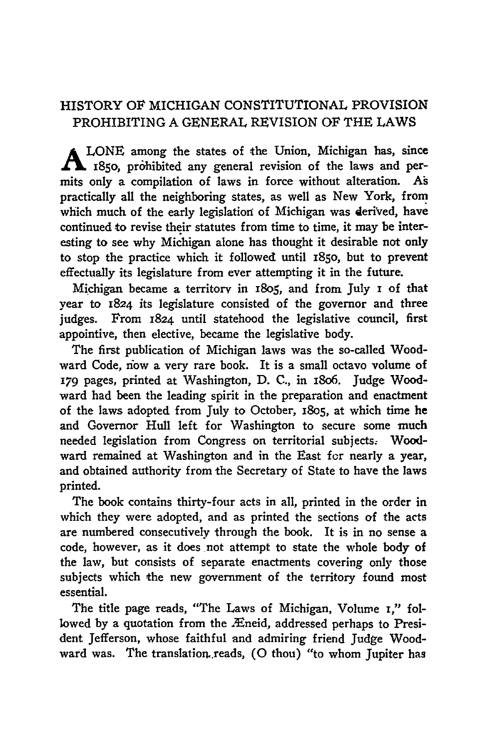## HISTORY OF MICHIGAN CONSTITUTIONAL PROVISION PROHIBITING A GENERAL REVISION OF THE LAWS

ALONE among the states of the Union, Michigan has, since 1850, prohibited any general revision of the laws and permits only a compilation of laws in force without alteration. As practically all the neighboring states, as well as New York, from which much of the early legislation of Michigan was derived, have continued to revise their statutes from time to time, it may be interesting to see why Michigan alone has thought it desirable not only to stop the practice which it followed until 1850, but to prevent effectually its legislature from ever attempting it in the future.

Michigan became a territory in 1805, and from July 1 of that year to 1824 its legislature consisted of the governor and three judges. From 1824 until statehood the legislative council, first appointive, then elective, became the legislative body.

The first publication of Michigan laws was the so-called Woodward Code, now a very rare book. It is a small octavo volume of 1/9 pages, printed at Washington, D. C., in 18o6. Judge Woodward had been the leading spirit in the preparation and enactment of the laws adopted from July to October, 18o5, at which time he and Governor Hull left for Washington to secure some much needed legislation from Congress on territorial subjects: Woodward remained at Washington and in the East fer nearly a year, and obtained authority from the Secretary of State to have the Jaws printed.

The book contains thirty-four acts in all, printed in the order in which they were adopted, and as printed the sections of the acts are numbered consecutively through the book. It is in no sense a code, however, as it does not attempt to state the whole body of the law, but consists of separate enactments covering only those subjects which the new government of the territory found most essential.

The title page reads, "The Laws of Michigan, Volume 1," followed by a quotation from the Æneid, addressed perhaps to President Jefferson, whose faithful and admiring friend Judge Woodward was. The translation reads, (O thou) "to whom Jupiter has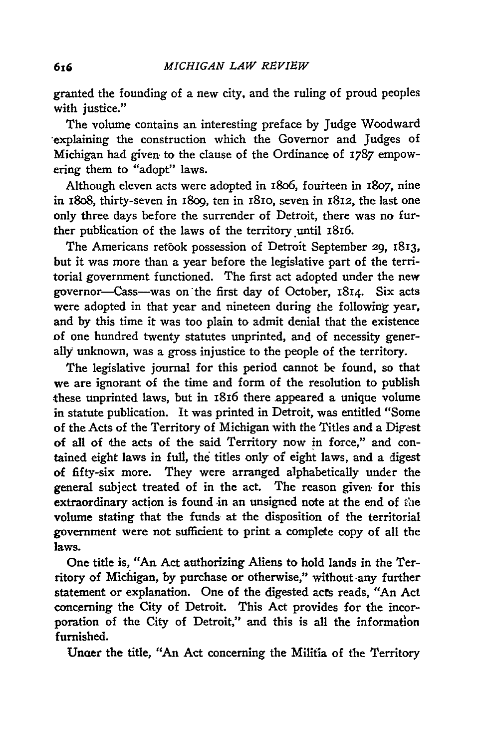granted the founding of a new city, and the ruling of proud peoples with justice."

The volume contains an interesting preface by Judge Woodward ·explaining the construction which the Governor and Judges of Michigan had given to the clause of the Ordinance of 1787 empowering them to "adopt" laws.

Although eleven acts were adopted in 1806, fourteen in 1807, nine in 1808, thirty-seven in 1809, ten in 1810, seven in 1812, the last one only three days before the surrender of Detroit, there was no further publication of the laws of the territory until 1816.

The Americans retook possession of Detroit September 29, 1813, but it was more than a year before the legislative part of the territorial government functioned. The first act adopted under the new governor-Cass-was on "the first day of October, 1814. Six acts were adopted in that year and nineteen during the following year, and by this time it was too plain to admit denial that the existence of one hundred twenty statutes unprinted, and of necessity generally unknown, was a gross injustice to the people of the territory.

The legislative journal for this period cannot be found, so that we are ignorant of the time and form of the resolution to publish these unprinted laws, but in 1816 there appeared a unique volume in statute publication. It was printed in Detroit, was entitled "Some of the Acts of the Territory of Michigan with the Titles and a Divest of all of the acts of the said Territory now in force," and contained eight laws in full, the titles only of eight laws, and a digest of fifty-six more. They were arranged alphabetically under the general subject treated of in the act. The reason given for this extraordinary action is found in an unsigned note at the end of the volume stating that the funds· at the disposition of the territorial government were not sufficient to print a complete copy of all the laws.

One title is, "An Act authorizing Aliens to hold lands in the Territory of Michigan, by purchase or otherwise," without-any further statement or explanation. One of the digested acts reads, "An Act concerning the City of Detroit. This Act provides for the incorporation of the City of Detroit," and this is all the information furnished.

Unaer the title, "An Act concerning the Militia of the Territory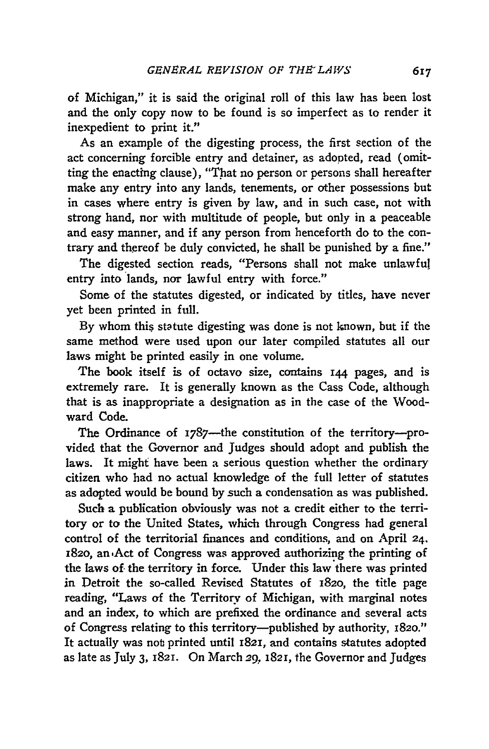of Michigan," it is said the original roll of this law has been lost and the only copy now to be found is so imperfect as to render it inexpedient to print it."

As an example of the digesting process, the first section of the act concerning forcible entry and detainer, as adopted, read (omitting the enacting clause), "That no person or persons shall hereafter make any entry into any lands, tenements, or other possessions but in cases where entry is given by law, and in such case, not with strong hand, nor with multitude of people, but only in a peaceable and easy manner, and if any person from henceforth do to the contrary and thereof be duly convicted, he shall be punished by a fine."

The digested section reads, "Persons shall not make unlawful entry into lands, nor lawful entry with force."

Some of the statutes digested, or indicated by titles, have never yet been printed in full.

By whom this statute digesting was done is not known, but if the same method were used upon our later compiled statutes all our laws might be printed easily in one volume.

The book itself is of octavo size, contains 144 pages, and is extremely rare. It is generally known as the Cass Code, although that is as inappropriate a designation as in the case of the Woodward Code.

The Ordinance of 1787-the constitution of the territory--provided that the Governor and Judges should adopt and publish the laws. It might have been a serious question whether the ordinary citizen who had no actual knowledge of the full letter of statutes as adopted would be bound by such a condensation as was published.

Such a publication obviously was not a credit either to the territory or to the United States, which through Congress had general control of the territorial finances and conditions, and on April 24. 1820, an ·Act of Congress was approved authorizing the printing of the laws of the territory in force. Under this law there was printed in Detroit the so-called Revised Statutes of 1820, the title page reading, "Laws of the Territory of Michigan, with marginal notes and an index, to which are prefixed the ordinance and several acts of Congress relating to this territory-published by authority, 1820." It actually was not printed until 1821, and contains statutes adopted as late as July 3, 1821. On March 29, 1821, the Governor and Judges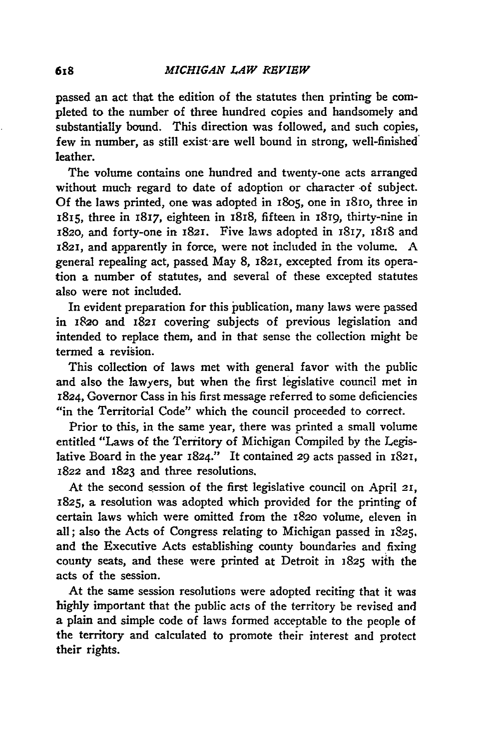passed an act that the edition of the statutes then printing be completed to the number of three hundred copies and handsomely and substantially bound. This direction was followed, and such copies, few in number, as still exist·are well bound in strong, well-finished· leather.

The volume contains one hundred and twenty-one acts arranged without much regard to date of adoption or character of subject. Of the laws printed, one was adopted in 18o5, one in 1810, three in 1815, three in 1817, eighteen in 1818, fifteen in 1819, thirty-nine in 1820, and forty-one in 1821. Five laws adopted in 1817, 1818 and 1821, and apparently in force, were not included in the volume. A general repealing act, passed May 8, 1821, excepted from its operation a number of statutes, and several of these excepted statutes also were not included.

In evident preparation for this publication, many laws were passed in 1820 and 1821 covering subjects of previous legislation and intended to replace them, and in that sense the collection might be termed a revision.

This collection of laws met with general favor with the public and also the lawyers, but when the first legislative council met in 1824, Governor Cass in his first message referred to some deficiencies "in the Territorial Code" which the council proceeded to correct.

Prior to this, in the same year, there was printed a small volume entitled "Laws of the Territory of Michigan Compiled by the Legislative Board in the year 1824." It contained 29 acts passed in 1821, 1822 and 1823 and three resolutions.

At the second session of the first legislative council on April 21, 1825, a resolution was adopted which provided for the printing of certain laws which were omitted from the 1820 volume, eleven in all; also the Acts of Congress relating to Michigan passed in 1825. and the Executive Acts establishing county boundaries and fixing county seats, and these were printed at Detroit in 1825 with the acts of the session.

At the same session resolutions were adopted reciting that it was highly important that the public acts of the territory be revised and a plain and simple code of laws formed acceptable to the people of the territory and calculated to promote their interest and protect their rights.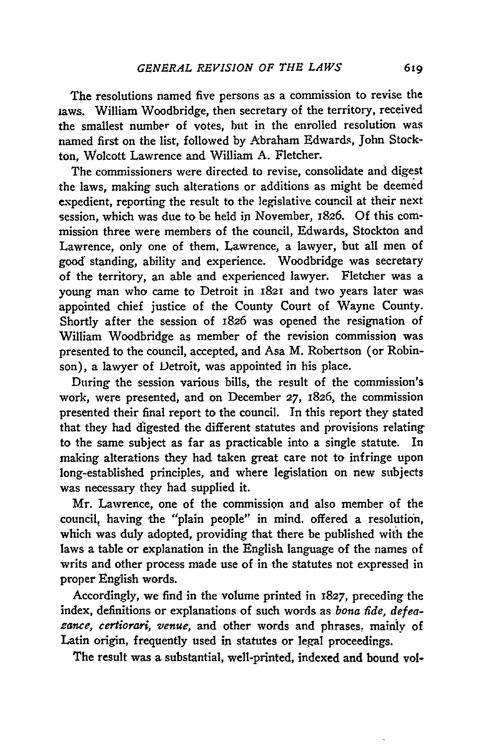The resolutions named five persons as a commission to revise the iaws. William Woodbridge, then secretary of the territory, received the smallest number of votes, but in the enrolled resolution was named first on the list, followed by Abraham Edwards, John Stockton, Wolcott Lawrence and William A. Fletcher.

The commissioners were directed to revise, consolidate and digest the laws, making such alterations or additions as might be deemed expedient, reporting the result to the legislative council at their next session, which was due to be held in November, 1826. Of this commission three were members of the council, Edwards, Stockton and Lawrence, only one of them, Lawrence, a lawyer, but all men of good· standing, ability and experience. Woodbridge was secretary of the territory, an able and experienced lawyer. Fletcher was a young man who came to Detroit in 1821 and two years later was appointed chief justice of the County Court of Wayne County. Shortly after the session of 1826 was opened the resignation of William Woodbridge as member of the revision commission was presented to the council, accepted, and Asa M. Robertson (or Robinson), a lawyer of Detroit, was appointed in his place.

During the session various bills, the result of the commission's work, were presented, and on December *27,* 1826, the commission presented their final report to the council. In this report they stated that they had digested the different statutes and provisions relating to the same subject as far as practicable into a single statute. In making alterations they had taken great care not to infringe upon long-established principles, and where legislation on new subjects was necessary they had supplied it.

Mr. Lawrence, one of the commission and also member of the council, having the "plain people" in mind. offered a resolution, which was duly adopted, providing that there be published with the laws a table or explanation in the English language of the names of writs and other process made use of in the statutes not expressed in proper English words.

Accordingly, we find in the volume printed in 1827, preceding the index, definitions or explanations of such words as *bona fide*, defea*zance, certiorari, venue,* and other words and phrases, mainiy of Latin origin, frequently used in statutes or legal proceedings.

The result was a substantial, welt-printed, indexed and bound vol-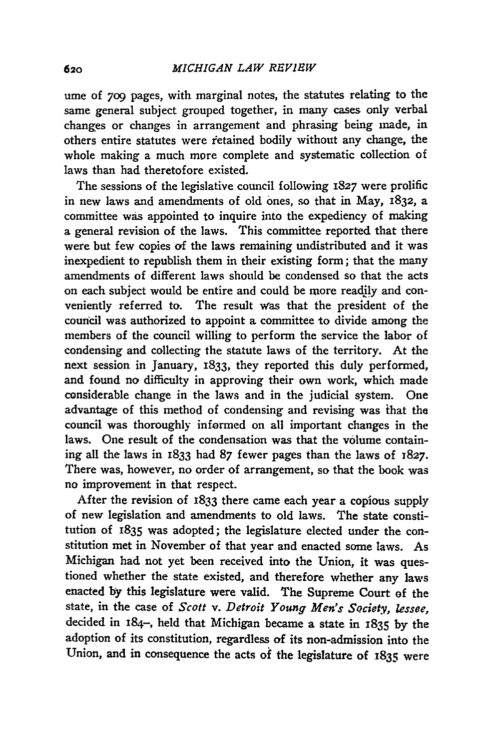ume of 709 pages, with marginal notes, the statutes relating to the same general subject grouped together, in many cases only verbal changes or changes in arrangement and phrasing being made, in others entire statutes were retained bodily without any change, the whole making a much more complete and systematic collection of laws than had theretofore existed.

The sessions of the legislative council following 1827 were prolific in new laws and amendments of old ones, so that in May, 1832, a committee was appointed to inquire into the expediency of making a general revision of the laws. This committee reported that there were but few copies of the laws remaining undistributed and it was inexpedient to republish them in their existing form; that the many amendments of different laws should be condensed so that the acts on each subject would be entire and could be more readjly and conveniently referred to. The result was that the president of the council was authorized to appoint a committee to divide among the members of the council willing to perform the service the labor of condensing and collecting the statute laws of the territory. At the next session in January, 1833, they reported this duly performed, and found no difficulty in approving their own work, which made considerable change in the laws and in the judicial system. One advantage of this method of condensing and revising was that the council was thoroughly informed on all important changes in the laws. One result of the condensation was that the volume containing all the laws in 1833 had 87 fewer pages than the laws of 1827. There was, however, no order of arrangement, so that the book was no improvement in that respect.

After the revision of 1833 there came each year a copious supply of new legislation and amendments to old laws. The state constitution of 1835 was adopted; the legislature elected under the constitution met in November of that year and enacted some laws. As Michigan had not yet been received into the Union, it was questioned whether the state existed, and therefore whether any laws enacted by this legislature were valid. The Supreme Court of the state, in the case of *Scott* v. *Detroit Young Men's SQciety, lessee,*  decided in 184-, held that Michigan became a state in 1835 by the adoption of its constitution, regardless of its non-admission into the Union, and in consequence the acts of the legislature of 1835 were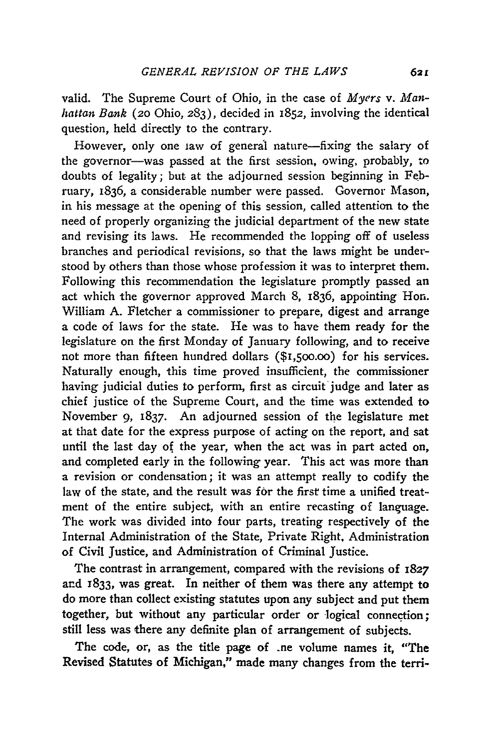valid. The Supreme Court of Ohio, in the case of *Myers* v. *Manhattan Bank* ( *20* Ohio, 283), decided in 1852, involving the identical question, held directly to the contrary.

However, only one 1aw of general nature-fixing the salary of the governor-was passed at the first session, owing, probably, to doubts of legality; but at the adjourned session beginning in February, 1836, a considerable number were passed. Governor Mason, in his message at the opening of this session, called attention to the need of properly organizing the judicial department of the new state and revising its laws. He recommended the lopping off of useless branches and periodical revisions, so that the laws might be understood by others than those whose profession it was to interpret them. Following this recommendation the legislature promptly passed an act which the governor approved March 8, 1836, appointing Hon. William A. Fletcher a commissioner to prepare, digest and arrange a code of laws for the state. He was to have them ready for the legislature on the first Monday of January following, and to receive not more than fifteen hundred dollars (\$1,500.00) for his services. Naturally enough, this time proved insufficient, the commissioner having judicial duties to perform, first as circuit judge and later as chief justice of the Supreme Court, and the time was extended to November 9, 1837. An adjourned session of the legislature met at that date for the express purpose of acting on the report, and sat until the last day of the year, when the act was in part acted on, and completed early in the following year. This act was more than a revision or condensation ; it was an attempt really to codify the law of the state, and the result was for the first time a unified treatment of the entire subject, with an entire recasting of language. The work was divided into four parts, treating respectively of the Internal Administration of the State, Private Right, Administration of Civil Justice, and Administration of Criminal Justice.

The contrast in arrangement, compared with the revisions of 1827 and 1833, was great. In neither of them was there any attempt to do more than collect existing statutes upon any subject and put them together, but without any particular order or logical connection: still less was there any definite plan of arrangement of subjects.

The code, or, as the title page of .ne volume names it, "The Revised Statutes of Michigan," made many changes from the terri-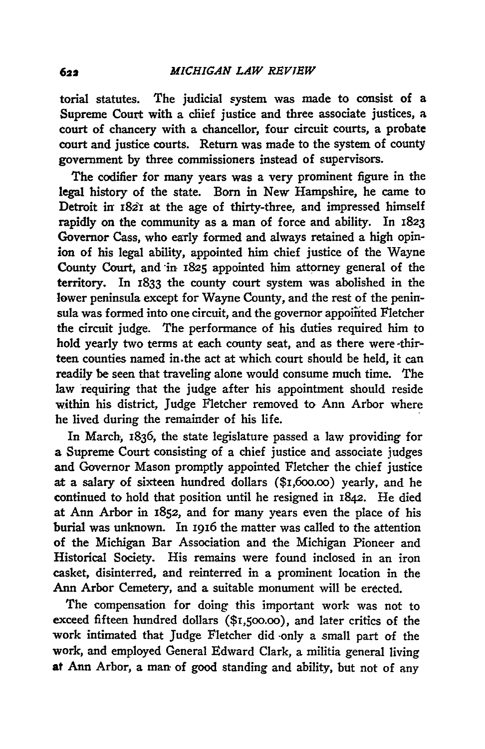torial statutes. The judicial system was made to consist of a Supreme Court with a chief justice and three associate justices, a court of chancery with a chancellor, four circuit courts, a probate court and justice courts. Return was made to the system of county government by three commissioners instead of supervisors.

The codifier for many years was a very prominent figure in the legal history of the state. Born in New Hampshire, he came to Detroit in 1821 at the age of thirty-three, and impressed himself rapidly on the community as a man of force and ability. In 1823 Governor Cass, who early formed and always retained a high opinion of his legal ability, appointed him chief justice of the Wayne County Court, and ·in 1825 appointed him attorney general of the territory. In 1833 the county court system was abolished in the lower peninsula except for Wayne County, and the rest of the peninsula was formed into one circuit, and the governor appointed Fletcher the circuit judge. The performance of his duties required him to hold yearly two terms at each county seat, and as there were -thirteen counties named in.the act at which court should be held, it can readily be seen that traveling alone would consume much time. The law requiring that the judge after his appointment should reside within his district. Judge Fletcher removed to Ann Arbor where he lived during the remainder of his life.

In March., 1836, the state legislature passed a law providing for a Supreme Court consisting of a chief justice and associate judges and Governor Mason promptly appointed Fletcher the chief justice at a salary of sixteen hundred dollars (\$1,6oo.oo) yearly, and he continued to hold that position until he resigned in 1842. He died at Ann Arbor in 1852, and for many years even the place of his burial was unknown. In 1916 the matter was called to the attention of the Michigan Bar Association and the Michigan Pioneer and Historical Society. His remains were found inclosed in an iron casket, disinterred, and reinterred in a prominent location in the Ann Arbor Cemetery, and a suitable monument will be erected.

The compensation for doing this important work was not to exceed fifteen hundred dollars (\$1,500.00), and later critics of the work intimated that Judge Fletcher did ·only a small part of the work, and employed General Edward Clark, a militia general living at Ann Arbor, a man: of good standing and ability, but not of any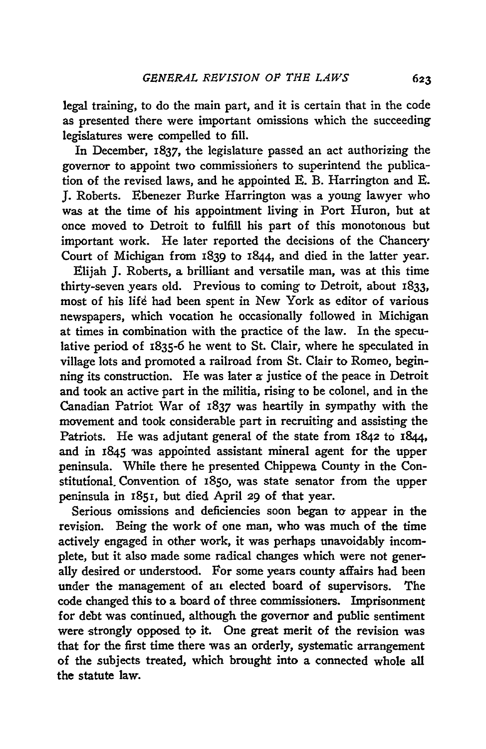legal training, to do the main part, and it is certain that in the code as presented there were important omissions which the succeeding legislatures were compelled to fill.

In December, 1837, the legislature passed an act authorizing the governor to appoint two commissioners to superintend the publication of the revised laws, and he appointed E. B. Harrington and E. J. Roberts. Ebenezer Burke Harrington was a young lawyer who was at the time of his appointment living in Port Huron, hut at once moved to Detroit to fulfill his part of this monotonous but important work. He later reported the decisions of the Chancery Court of Michigan from 1839 to 1844, and died in the latter year.

Elijah J. Roberts, a brilliant and versatile man, was at this time thirty-seven years old. Previous to coming to Detroit, about 1833, most of his life had been spent in New York as editor of various newspapers, which vocation he occasionally followed in Michigan at times in combination with the practice of the law. In the speculative period of 1835-6 he went to St. Clair, where he speculated in village lots and promoted a railroad from St. Clair to Romeo, beginning its construction. He was later *a:* justice of the peace in Detroit and took an active part in the militia, rising to be colonel, and in the Canadian Patriot War of 1837 was heartily in sympathy with the movement and took considerable part in recruiting and assisting the Patriots. He was adjutant general of the state from 1842 to 1844, and in 1845 was appointed assistant mineral agent for the upper peninsula. While there he presented Chippewa County in the Constitutional. Convention of 1850, was state senator from the upper peninsula in 1851, but died April 29 of that year.

Serious omissions and deficiencies soon began to appear in the revision. Being the work of one man, who was much of the time actively engaged in other work, it was perhaps unavoidably incomplete, but it also made some radical changes which were not generally desired or understood. For some years county affairs had been under the management of au elected board of supervisors. The code changed this to a board of three commissioners. Imprisonment for debt was continued, although the governor and public sentiment were strongly opposed to it. One great merit of the revision was that for the first time there was an orderly, systematic arrangement of the subjects treated, which brought into a connected whole all the statute law.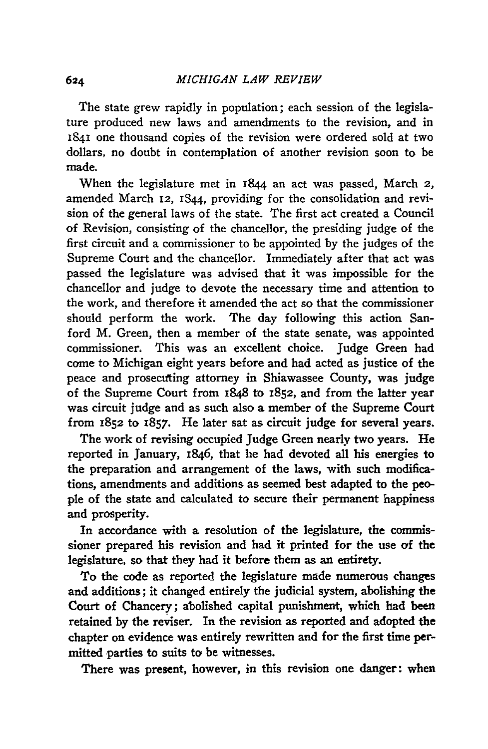The state grew rapidly in population; each session of the legislature produced new laws and amendments to the revision, and in 1841 one thousand copies of the revision were ordered sold at two dollars, no doubt in contemplation of another revision soon to be made.

When the legislature met in 1844 an act was passed, March *2,*  amended March 12, 1344, providing for the consolidation and revision of the general laws of the state. The first act created a Council of Revision, consisting of the chancellor, the presiding judge of the first circuit and a commissioner to be appointed by the judges of the Supreme Court and the chancellor. Immediately after that act was passed the legislature was advised that it was impossible for the chancellor and judge to devote the necessary time and attention to the work, and therefore it amended the act so that the commissioner should perform the work. The day following this action Sanford M. Green, then a member of the state senate, was appointed commissioner. This was an excellent choice. Judge Green had come to Michigan eight years before and had acted as justice of the peace and prosecuting attorney in Shiawassee County, was judge of the Supreme Court from 1848 to 1852, and from the latter year was circuit judge and as such also a member of the Supreme Court from 1852 to 1857. He later sat as circuit judge for several years.

The work of revising occupied Judge Green nearly two years. He reported in January, 1846, that he had devoted all his energies to the preparation and arrangement of the laws, with such modifications, amendments and additions as seemed best adapted to the people of the state and calculated *to* secure their permanent happiness and prosperity.

In accordance with a resolution of the legislature, the commissioner prepared his revision and had it printed for the use of the legislature, so that they had it before them as an entirety.

To the code as reported the legislature made numerous changes and additions; it changed entirely the judicial system, abolishing **the**  Court of Chancery; abolished capital punishment, which had been retained by the reviser. In the revision as reported and adopted the chapter on evidence was entirely rewritten and for the first time permitted parties to suits to be witnesses.

There was present, however, in this revision one danger: when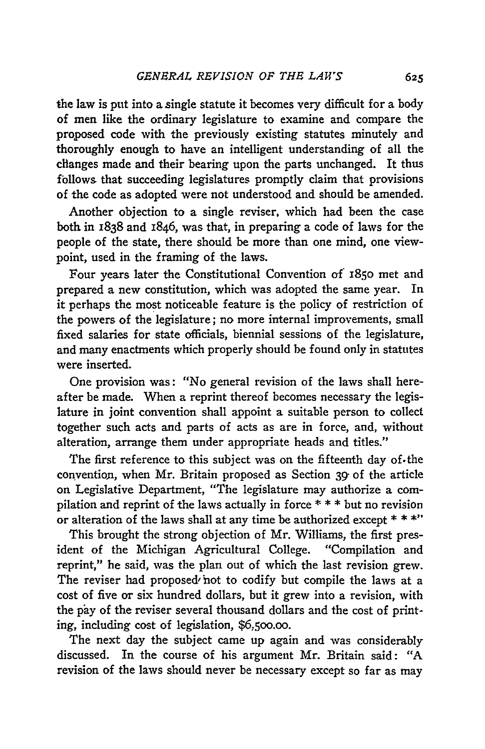the law is put into a single statute it becomes very difficult for a body of men like the ordinary legislature to examine and compare the proposed code with the previously existing statutes minutely and thoroughly enough to have an intelligent understanding of all the clianges made and their bearing upon the parts unchanged. It thus follows that succeeding legislatures promptly claim that provisions of the code as adopted were not understood and should be amended.

Another objection to a single reviser, which had been the case both in 1838 and 1846, was that, in preparing a code of laws for the people of the state, there should be more than one mind, one viewpoint, used in the framing of the laws.

Four years later the Constitutional Convention of' 1850 met and prepared a new constitution, which was adopted the same year. In it perhaps the most noticeable feature is the policy of restriction of the powers of the legislature; no more internal improvements, small fixed salaries for state officials, biennial sessions of the legislature, and many enactments which properly should be found only in statutes were inserted.

One provision was: "No general revision of the laws shall hereafter be made. When a reprint thereof becomes necessary the legislature in joint convention shall appoint a suitable person to collect together such acts and parts of acts as are in force, and, without alteration, arrange them under appropriate heads and titles."

The first reference to this subject was on the fifteenth day of.the convention, when Mr. Britain proposed as Section 39 of the article on Legislative Department, "The legislature may authorize a compilation and reprint of the laws actually in force \* \* \* but no revision or alteration of the laws shall at any time be authorized except  $* * * "$ 

This brought the strong objection of Mr. Williams, the first president of the Michigan Agricultural College. "Compilation and reprint," he said, was the plan out of which the last revision grew. The reviser had proposed not to codify but compile the laws at a cost of five or six hundred dollars, but it grew into a revision, with the pay of the reviser several thousand dollars and the cost of printing, including cost of legislation, \$6,500.00.

The next day the subject came up again and was considerably discussed. In the course of his argument Mr. Britain said: "A revision of the laws should never be necessary except so far as may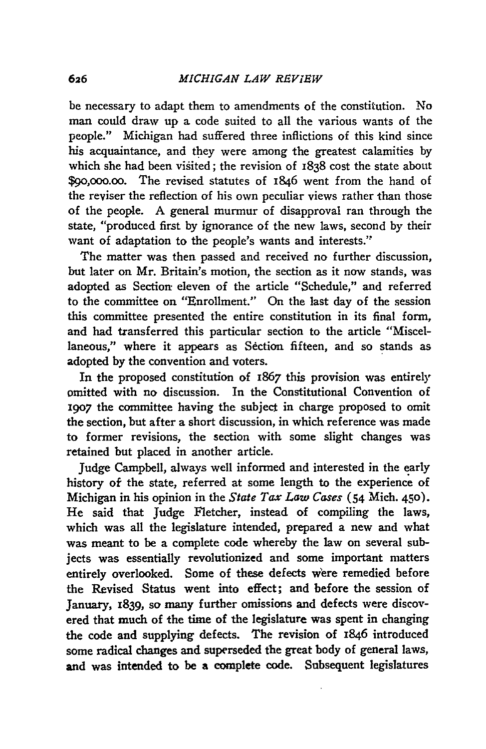be necessary to adapt them to amendments of the constitution. No man could draw up a code suited to all the various wants of the people." Michigan had suffered three inflictions of this kind since his acquaintance, and they were among the greatest calamities by which she had been visited ; the revision of 1838 cost the state about \$90,000.00. The revised statutes of 1846 went from the hand of the reviser the reflection of his own peculiar views rather than thost of the people. A general murmur of disapproval ran through the state, "produced first by ignorance of the new laws, second by their want of adaptation to the people's wants and interests."

The matter was then passed and received no further discussion, but later on Mr. Britain's motion, the section as it now stands, was adopted as Section: eleven of the article "Schedule,'' and referred to the committee on "Enrollment." On the last day of the session this committee presented the entire constitution in its final form, and had transferred this particular section to the article "Miscellaneous,'' where it appears as Section fifteen, and so stands as adopted by the convention and voters.

In the proposed constitution of 1867 this provision was entirely omitted with no discussion. In the Constitutional Convention of 1907 the committee having the subject in charge proposed to omit the section, but after a short discussion, in which reference was made to former revisions, the section with some slight changes was retained but placed in another article.

Judge Campbell, always well informed and interested in the early history of the state, referred at some length to the experience of Michigan in his opinion in the *State Tax Law Cases* (54 Mich. 450). He said that Judge Fletcher, instead of compiling the laws, which was all the legislature intended, prepared a new and what was meant to be a complete code whereby the law on several subjects was essentially revolutionized and some important matters entirely overlooked. Some of these defects were remedied before the Revised Status went into effect; and before the session of January, 1839, so many further omissions and defects were discovered that much of the time of the legislature was spent in changing the code and supplying defects. The revision of 1846 introduced some radical changes and superseded the great body of general laws, and was intended to be a complete code. Subsequent legislatures